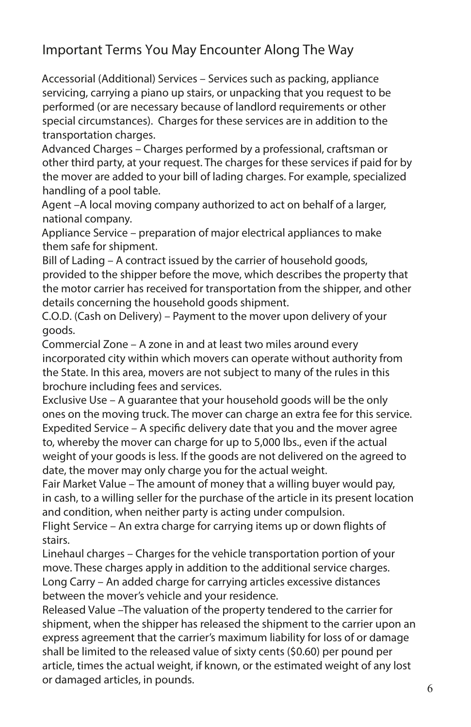## Important Terms You May Encounter Along The Way

 Accessorial (Additional) Services – Services such as packing, appliance performed (or are necessary because of landlord requirements or other special circumstances). Charges for these services are in addition to the servicing, carrying a piano up stairs, or unpacking that you request to be transportation charges.

 the mover are added to your bill of lading charges. For example, specialized Advanced Charges – Charges performed by a professional, craftsman or other third party, at your request. The charges for these services if paid for by handling of a pool table.

 Agent –A local moving company authorized to act on behalf of a larger, national company.

Appliance Service – preparation of major electrical appliances to make them safe for shipment.

 Bill of Lading – A contract issued by the carrier of household goods, provided to the shipper before the move, which describes the property that the motor carrier has received for transportation from the shipper, and other details concerning the household goods shipment.

 C.O.D. (Cash on Delivery) – Payment to the mover upon delivery of your goods.

 Commercial Zone – A zone in and at least two miles around every incorporated city within which movers can operate without authority from the State. In this area, movers are not subject to many of the rules in this brochure including fees and services.

 Exclusive Use – A guarantee that your household goods will be the only Expedited Service – A specific delivery date that you and the mover agree to, whereby the mover can charge for up to 5,000 lbs., even if the actual ones on the moving truck. The mover can charge an extra fee for this service. weight of your goods is less. If the goods are not delivered on the agreed to date, the mover may only charge you for the actual weight.

 Fair Market Value – The amount of money that a willing buyer would pay, in cash, to a willing seller for the purchase of the article in its present location and condition, when neither party is acting under compulsion.

 Flight Service – An extra charge for carrying items up or down flights of stairs.

 Long Carry – An added charge for carrying articles excessive distances Linehaul charges – Charges for the vehicle transportation portion of your move. These charges apply in addition to the additional service charges. between the mover's vehicle and your residence.

 shall be limited to the released value of sixty cents (\$0.60) per pound per Released Value –The valuation of the property tendered to the carrier for shipment, when the shipper has released the shipment to the carrier upon an express agreement that the carrier's maximum liability for loss of or damage article, times the actual weight, if known, or the estimated weight of any lost or damaged articles, in pounds.  $\qquad \qquad 6$